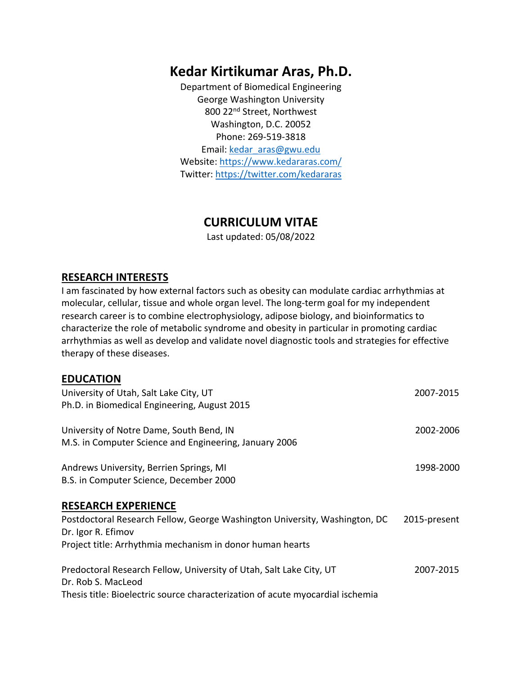# **Kedar Kirtikumar Aras, Ph.D.**

Department of Biomedical Engineering George Washington University 800 22nd Street, Northwest Washington, D.C. 20052 Phone: 269-519-3818 Email: kedar\_aras@gwu.edu Website: https://www.kedararas.com/ Twitter: https://twitter.com/kedararas

## **CURRICULUM VITAE**

Last updated: 05/08/2022

### **RESEARCH INTERESTS**

I am fascinated by how external factors such as obesity can modulate cardiac arrhythmias at molecular, cellular, tissue and whole organ level. The long-term goal for my independent research career is to combine electrophysiology, adipose biology, and bioinformatics to characterize the role of metabolic syndrome and obesity in particular in promoting cardiac arrhythmias as well as develop and validate novel diagnostic tools and strategies for effective therapy of these diseases.

### **EDUCATION**

| University of Utah, Salt Lake City, UT                                         | 2007-2015    |
|--------------------------------------------------------------------------------|--------------|
| Ph.D. in Biomedical Engineering, August 2015                                   |              |
| University of Notre Dame, South Bend, IN                                       | 2002-2006    |
| M.S. in Computer Science and Engineering, January 2006                         |              |
| Andrews University, Berrien Springs, MI                                        | 1998-2000    |
| B.S. in Computer Science, December 2000                                        |              |
| <b>RESEARCH EXPERIENCE</b>                                                     |              |
| Postdoctoral Research Fellow, George Washington University, Washington, DC     | 2015-present |
| Dr. Igor R. Efimov                                                             |              |
| Project title: Arrhythmia mechanism in donor human hearts                      |              |
| Predoctoral Research Fellow, University of Utah, Salt Lake City, UT            | 2007-2015    |
| Dr. Rob S. MacLeod                                                             |              |
| Thesis title: Bioelectric source characterization of acute myocardial ischemia |              |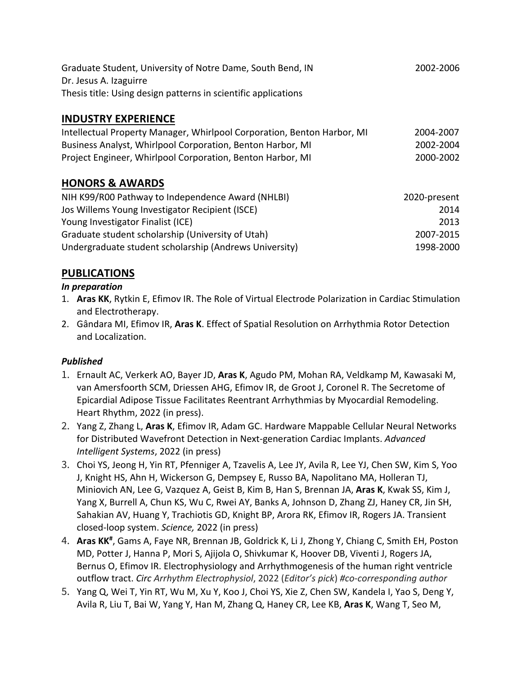| Graduate Student, University of Notre Dame, South Bend, IN     | 2002-2006 |
|----------------------------------------------------------------|-----------|
| Dr. Jesus A. Izaguirre                                         |           |
| Thesis title: Using design patterns in scientific applications |           |

## **INDUSTRY EXPERIENCE**

| Intellectual Property Manager, Whirlpool Corporation, Benton Harbor, MI | 2004-2007 |
|-------------------------------------------------------------------------|-----------|
| Business Analyst, Whirlpool Corporation, Benton Harbor, MI              | 2002-2004 |
| Project Engineer, Whirlpool Corporation, Benton Harbor, MI              | 2000-2002 |

### **HONORS & AWARDS**

| NIH K99/R00 Pathway to Independence Award (NHLBI)      | 2020-present |
|--------------------------------------------------------|--------------|
| Jos Willems Young Investigator Recipient (ISCE)        | 2014         |
| Young Investigator Finalist (ICE)                      | 2013         |
| Graduate student scholarship (University of Utah)      | 2007-2015    |
| Undergraduate student scholarship (Andrews University) | 1998-2000    |

## **PUBLICATIONS**

#### *In preparation*

- 1. **Aras KK**, Rytkin E, Efimov IR. The Role of Virtual Electrode Polarization in Cardiac Stimulation and Electrotherapy.
- 2. Gândara MI, Efimov IR, **Aras K**. Effect of Spatial Resolution on Arrhythmia Rotor Detection and Localization.

#### *Published*

- 1. Ernault AC, Verkerk AO, Bayer JD, **Aras K**, Agudo PM, Mohan RA, Veldkamp M, Kawasaki M, van Amersfoorth SCM, Driessen AHG, Efimov IR, de Groot J, Coronel R. The Secretome of Epicardial Adipose Tissue Facilitates Reentrant Arrhythmias by Myocardial Remodeling. Heart Rhythm, 2022 (in press).
- 2. Yang Z, Zhang L, **Aras K**, Efimov IR, Adam GC. Hardware Mappable Cellular Neural Networks for Distributed Wavefront Detection in Next-generation Cardiac Implants. *Advanced Intelligent Systems*, 2022 (in press)
- 3. Choi YS, Jeong H, Yin RT, Pfenniger A, Tzavelis A, Lee JY, Avila R, Lee YJ, Chen SW, Kim S, Yoo J, Knight HS, Ahn H, Wickerson G, Dempsey E, Russo BA, Napolitano MA, Holleran TJ, Miniovich AN, Lee G, Vazquez A, Geist B, Kim B, Han S, Brennan JA, **Aras K**, Kwak SS, Kim J, Yang X, Burrell A, Chun KS, Wu C, Rwei AY, Banks A, Johnson D, Zhang ZJ, Haney CR, Jin SH, Sahakian AV, Huang Y, Trachiotis GD, Knight BP, Arora RK, Efimov IR, Rogers JA. Transient closed-loop system. *Science,* 2022 (in press)
- 4. Aras KK<sup>#</sup>, Gams A, Faye NR, Brennan JB, Goldrick K, Li J, Zhong Y, Chiang C, Smith EH, Poston MD, Potter J, Hanna P, Mori S, Ajijola O, Shivkumar K, Hoover DB, Viventi J, Rogers JA, Bernus O, Efimov IR. Electrophysiology and Arrhythmogenesis of the human right ventricle outflow tract. *Circ Arrhythm Electrophysiol*, 2022 (*Editor's pick*) *#co-corresponding author*
- 5. Yang Q, Wei T, Yin RT, Wu M, Xu Y, Koo J, Choi YS, Xie Z, Chen SW, Kandela I, Yao S, Deng Y, Avila R, Liu T, Bai W, Yang Y, Han M, Zhang Q, Haney CR, Lee KB, **Aras K**, Wang T, Seo M,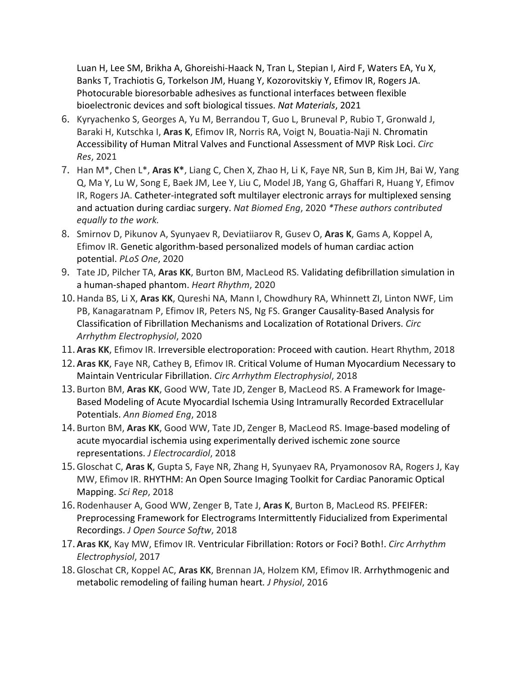Luan H, Lee SM, Brikha A, Ghoreishi-Haack N, Tran L, Stepian I, Aird F, Waters EA, Yu X, Banks T, Trachiotis G, Torkelson JM, Huang Y, Kozorovitskiy Y, Efimov IR, Rogers JA. Photocurable bioresorbable adhesives as functional interfaces between flexible bioelectronic devices and soft biological tissues. *Nat Materials*, 2021

- 6. Kyryachenko S, Georges A, Yu M, Berrandou T, Guo L, Bruneval P, Rubio T, Gronwald J, Baraki H, Kutschka I, **Aras K**, Efimov IR, Norris RA, Voigt N, Bouatia-Naji N. Chromatin Accessibility of Human Mitral Valves and Functional Assessment of MVP Risk Loci. *Circ Res*, 2021
- 7. Han M\*, Chen L\*, **Aras K\***, Liang C, Chen X, Zhao H, Li K, Faye NR, Sun B, Kim JH, Bai W, Yang Q, Ma Y, Lu W, Song E, Baek JM, Lee Y, Liu C, Model JB, Yang G, Ghaffari R, Huang Y, Efimov IR, Rogers JA. Catheter-integrated soft multilayer electronic arrays for multiplexed sensing and actuation during cardiac surgery. *Nat Biomed Eng*, 2020 *\*These authors contributed equally to the work.*
- 8. Smirnov D, Pikunov A, Syunyaev R, Deviatiiarov R, Gusev O, **Aras K**, Gams A, Koppel A, Efimov IR. Genetic algorithm-based personalized models of human cardiac action potential. *PLoS One*, 2020
- 9. Tate JD, Pilcher TA, **Aras KK**, Burton BM, MacLeod RS. Validating defibrillation simulation in a human-shaped phantom. *Heart Rhythm*, 2020
- 10.Handa BS, Li X, **Aras KK**, Qureshi NA, Mann I, Chowdhury RA, Whinnett ZI, Linton NWF, Lim PB, Kanagaratnam P, Efimov IR, Peters NS, Ng FS. Granger Causality-Based Analysis for Classification of Fibrillation Mechanisms and Localization of Rotational Drivers. *Circ Arrhythm Electrophysiol*, 2020
- 11. **Aras KK**, Efimov IR. Irreversible electroporation: Proceed with caution. Heart Rhythm, 2018
- 12. **Aras KK**, Faye NR, Cathey B, Efimov IR. Critical Volume of Human Myocardium Necessary to Maintain Ventricular Fibrillation. *Circ Arrhythm Electrophysiol*, 2018
- 13. Burton BM, **Aras KK**, Good WW, Tate JD, Zenger B, MacLeod RS. A Framework for Image-Based Modeling of Acute Myocardial Ischemia Using Intramurally Recorded Extracellular Potentials. *Ann Biomed Eng*, 2018
- 14. Burton BM, **Aras KK**, Good WW, Tate JD, Zenger B, MacLeod RS. Image-based modeling of acute myocardial ischemia using experimentally derived ischemic zone source representations. *J Electrocardiol*, 2018
- 15.Gloschat C, **Aras K**, Gupta S, Faye NR, Zhang H, Syunyaev RA, Pryamonosov RA, Rogers J, Kay MW, Efimov IR. RHYTHM: An Open Source Imaging Toolkit for Cardiac Panoramic Optical Mapping. *Sci Rep*, 2018
- 16. Rodenhauser A, Good WW, Zenger B, Tate J, **Aras K**, Burton B, MacLeod RS. PFEIFER: Preprocessing Framework for Electrograms Intermittently Fiducialized from Experimental Recordings. *J Open Source Softw*, 2018
- 17. **Aras KK**, Kay MW, Efimov IR. Ventricular Fibrillation: Rotors or Foci? Both!. *Circ Arrhythm Electrophysiol*, 2017
- 18.Gloschat CR, Koppel AC, **Aras KK**, Brennan JA, Holzem KM, Efimov IR. Arrhythmogenic and metabolic remodeling of failing human heart*. J Physiol*, 2016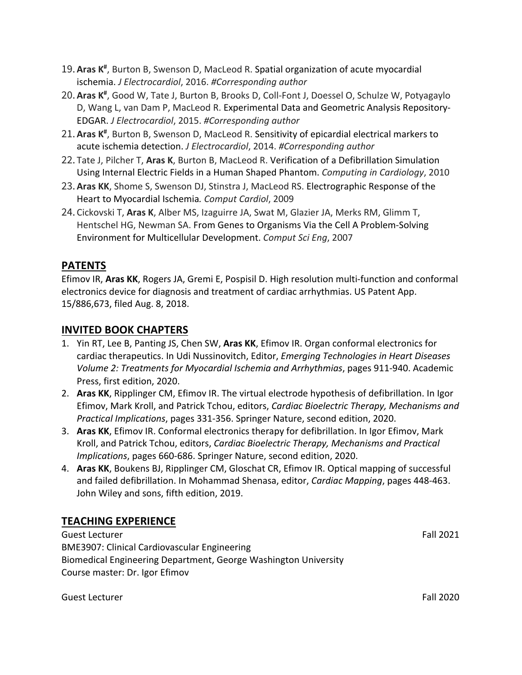- 19. Aras K<sup>#</sup>, Burton B, Swenson D, MacLeod R. Spatial organization of acute myocardial ischemia. *J Electrocardiol*, 2016. *#Corresponding author*
- 20. **Aras K#** , Good W, Tate J, Burton B, Brooks D, Coll-Font J, Doessel O, Schulze W, Potyagaylo D, Wang L, van Dam P, MacLeod R. Experimental Data and Geometric Analysis Repository-EDGAR. *J Electrocardiol*, 2015. *#Corresponding author*
- 21. Aras K<sup>#</sup>, Burton B, Swenson D, MacLeod R. Sensitivity of epicardial electrical markers to acute ischemia detection. *J Electrocardiol*, 2014. *#Corresponding author*
- 22. Tate J, Pilcher T, **Aras K**, Burton B, MacLeod R. Verification of a Defibrillation Simulation Using Internal Electric Fields in a Human Shaped Phantom. *Computing in Cardiology*, 2010
- 23. **Aras KK**, Shome S, Swenson DJ, Stinstra J, MacLeod RS. Electrographic Response of the Heart to Myocardial Ischemia*. Comput Cardiol*, 2009
- 24. Cickovski T, **Aras K**, Alber MS, Izaguirre JA, Swat M, Glazier JA, Merks RM, Glimm T, Hentschel HG, Newman SA. From Genes to Organisms Via the Cell A Problem-Solving Environment for Multicellular Development. *Comput Sci Eng*, 2007

## **PATENTS**

Efimov IR, **Aras KK**, Rogers JA, Gremi E, Pospisil D. High resolution multi-function and conformal electronics device for diagnosis and treatment of cardiac arrhythmias. US Patent App. 15/886,673, filed Aug. 8, 2018.

### **INVITED BOOK CHAPTERS**

- 1. Yin RT, Lee B, Panting JS, Chen SW, **Aras KK**, Efimov IR. Organ conformal electronics for cardiac therapeutics. In Udi Nussinovitch, Editor, *Emerging Technologies in Heart Diseases Volume 2: Treatments for Myocardial Ischemia and Arrhythmias*, pages 911-940. Academic Press, first edition, 2020.
- 2. **Aras KK**, Ripplinger CM, Efimov IR. The virtual electrode hypothesis of defibrillation. In Igor Efimov, Mark Kroll, and Patrick Tchou, editors, *Cardiac Bioelectric Therapy, Mechanisms and Practical Implications*, pages 331-356. Springer Nature, second edition, 2020.
- 3. **Aras KK**, Efimov IR. Conformal electronics therapy for defibrillation. In Igor Efimov, Mark Kroll, and Patrick Tchou, editors, *Cardiac Bioelectric Therapy, Mechanisms and Practical Implications*, pages 660-686. Springer Nature, second edition, 2020.
- 4. **Aras KK**, Boukens BJ, Ripplinger CM, Gloschat CR, Efimov IR. Optical mapping of successful and failed defibrillation. In Mohammad Shenasa, editor, *Cardiac Mapping*, pages 448-463. John Wiley and sons, fifth edition, 2019.

## **TEACHING EXPERIENCE**

Guest Lecturer Fall 2021 BME3907: Clinical Cardiovascular Engineering Biomedical Engineering Department, George Washington University Course master: Dr. Igor Efimov

Guest Lecturer Fall 2020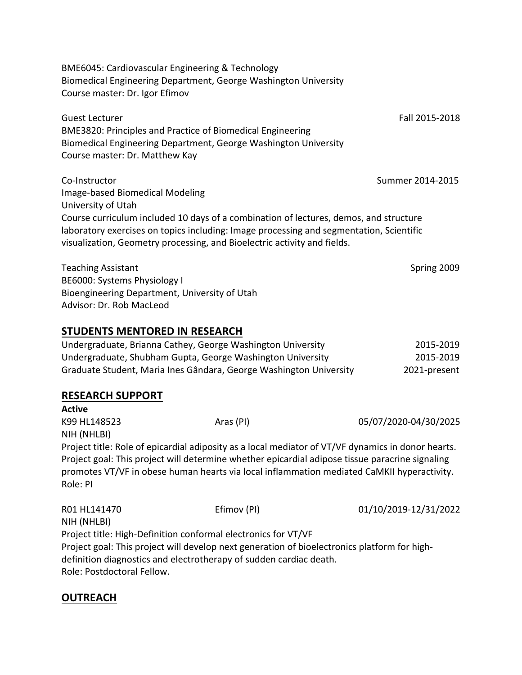BME6045: Cardiovascular Engineering & Technology Biomedical Engineering Department, George Washington University Course master: Dr. Igor Efimov

Guest Lecturer Fall 2015-2018 BME3820: Principles and Practice of Biomedical Engineering Biomedical Engineering Department, George Washington University Course master: Dr. Matthew Kay

Co-Instructor Summer 2014-2015 Image-based Biomedical Modeling University of Utah Course curriculum included 10 days of a combination of lectures, demos, and structure laboratory exercises on topics including: Image processing and segmentation, Scientific visualization, Geometry processing, and Bioelectric activity and fields.

Teaching Assistant National Assistant Spring 2009 Spring 2009 BE6000: Systems Physiology I Bioengineering Department, University of Utah Advisor: Dr. Rob MacLeod

#### **STUDENTS MENTORED IN RESEARCH**

| Undergraduate, Brianna Cathey, George Washington University        | 2015-2019    |
|--------------------------------------------------------------------|--------------|
| Undergraduate, Shubham Gupta, George Washington University         | 2015-2019    |
| Graduate Student, Maria Ines Gândara, George Washington University | 2021-present |

#### **RESEARCH SUPPORT**

**Active** K99 HL148523 Aras (PI) 4 Aras (PI) 05/07/2020-04/30/2025 NIH (NHLBI) Project title: Role of epicardial adiposity as a local mediator of VT/VF dynamics in donor hearts. Project goal: This project will determine whether epicardial adipose tissue paracrine signaling promotes VT/VF in obese human hearts via local inflammation mediated CaMKII hyperactivity. Role: PI

R01 HL141470 Efimov (PI) 01/10/2019-12/31/2022 NIH (NHLBI) Project title: High-Definition conformal electronics for VT/VF Project goal: This project will develop next generation of bioelectronics platform for highdefinition diagnostics and electrotherapy of sudden cardiac death. Role: Postdoctoral Fellow.

### **OUTREACH**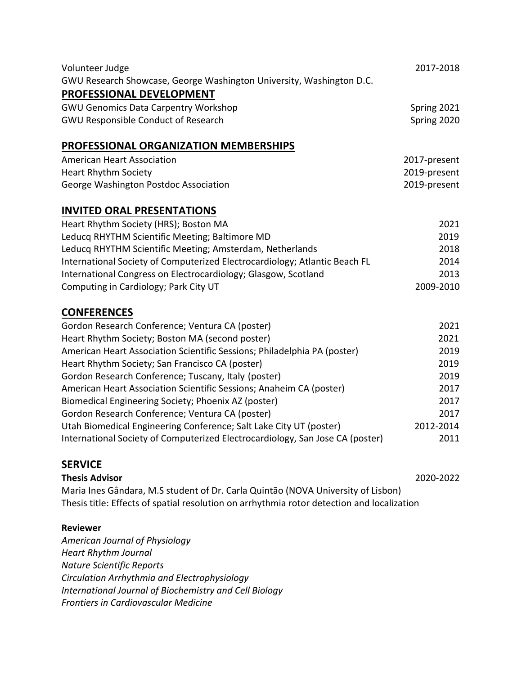| Volunteer Judge                                                            | 2017-2018    |
|----------------------------------------------------------------------------|--------------|
| GWU Research Showcase, George Washington University, Washington D.C.       |              |
| PROFESSIONAL DEVELOPMENT                                                   |              |
| <b>GWU Genomics Data Carpentry Workshop</b>                                | Spring 2021  |
| <b>GWU Responsible Conduct of Research</b>                                 | Spring 2020  |
| <b>PROFESSIONAL ORGANIZATION MEMBERSHIPS</b>                               |              |
| <b>American Heart Association</b>                                          | 2017-present |
| <b>Heart Rhythm Society</b>                                                | 2019-present |
| George Washington Postdoc Association                                      | 2019-present |
| <b>INVITED ORAL PRESENTATIONS</b>                                          |              |
| Heart Rhythm Society (HRS); Boston MA                                      | 2021         |
| Leducq RHYTHM Scientific Meeting; Baltimore MD                             | 2019         |
| Leducq RHYTHM Scientific Meeting; Amsterdam, Netherlands                   | 2018         |
| International Society of Computerized Electrocardiology; Atlantic Beach FL | 2014         |
| International Congress on Electrocardiology; Glasgow, Scotland             | 2013         |
| Computing in Cardiology; Park City UT                                      | 2009-2010    |
| <b>CONFERENCES</b>                                                         |              |
| Gordon Research Conference; Ventura CA (poster)                            | 2021         |
| Hoart Phythm Cocioty: Poston MA (second postar)                            | ากาา         |

| Heart Rhythm Society; Boston MA (second poster)                               | 2021      |
|-------------------------------------------------------------------------------|-----------|
| American Heart Association Scientific Sessions; Philadelphia PA (poster)      | 2019      |
| Heart Rhythm Society; San Francisco CA (poster)                               | 2019      |
| Gordon Research Conference; Tuscany, Italy (poster)                           | 2019      |
| American Heart Association Scientific Sessions; Anaheim CA (poster)           | 2017      |
| Biomedical Engineering Society; Phoenix AZ (poster)                           | 2017      |
| Gordon Research Conference; Ventura CA (poster)                               | 2017      |
| Utah Biomedical Engineering Conference; Salt Lake City UT (poster)            | 2012-2014 |
| International Society of Computerized Electrocardiology, San Jose CA (poster) | 2011      |

### **SERVICE**

**Thesis Advisor** 2020-2022 Maria Ines Gândara, M.S student of Dr. Carla Quintão (NOVA University of Lisbon) Thesis title: Effects of spatial resolution on arrhythmia rotor detection and localization

#### **Reviewer**

*American Journal of Physiology Heart Rhythm Journal Nature Scientific Reports Circulation Arrhythmia and Electrophysiology International Journal of Biochemistry and Cell Biology Frontiers in Cardiovascular Medicine*